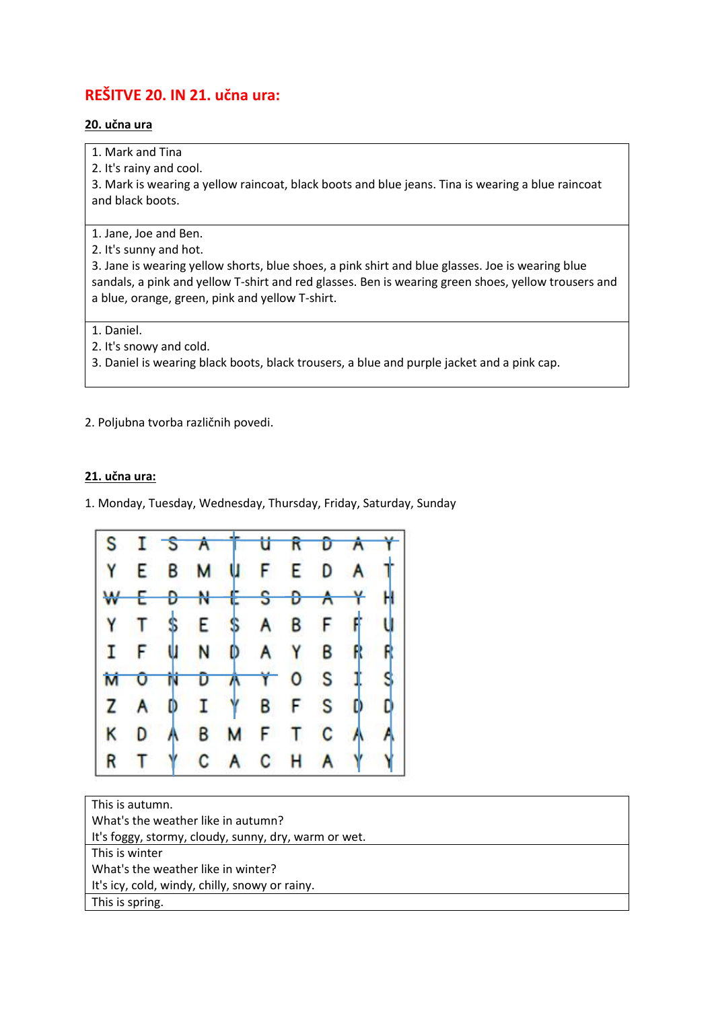## **REŠITVE 20. IN 21. učna ura:**

## **20. učna ura**

1. Mark and Tina

2. It's rainy and cool.

3. Mark is wearing a yellow raincoat, black boots and blue jeans. Tina is wearing a blue raincoat and black boots.

1. Jane, Joe and Ben.

2. It's sunny and hot.

3. Jane is wearing yellow shorts, blue shoes, a pink shirt and blue glasses. Joe is wearing blue sandals, a pink and yellow T-shirt and red glasses. Ben is wearing green shoes, yellow trousers and a blue, orange, green, pink and yellow T-shirt.

1. Daniel.

2. It's snowy and cold.

3. Daniel is wearing black boots, black trousers, a blue and purple jacket and a pink cap.

2. Poljubna tvorba različnih povedi.

## **21. učna ura:**

1. Monday, Tuesday, Wednesday, Thursday, Friday, Saturday, Sunday



| This is autumn.                                      |
|------------------------------------------------------|
| What's the weather like in autumn?                   |
| It's foggy, stormy, cloudy, sunny, dry, warm or wet. |
| This is winter                                       |
| What's the weather like in winter?                   |
| It's icy, cold, windy, chilly, snowy or rainy.       |
| This is spring.                                      |
|                                                      |